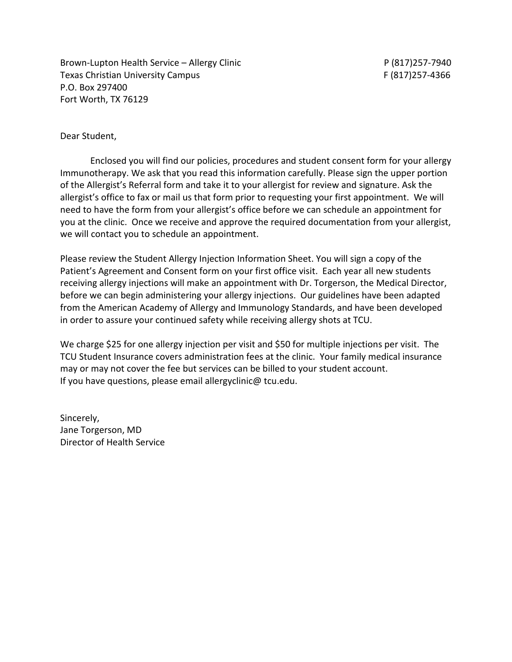Brown-Lupton Health Service – Allergy Clinic Communication Communication P (817)257-7940 Texas Christian University Campus F (817)257-4366 P.O. Box 297400 Fort Worth, TX 76129

#### Dear Student,

Enclosed you will find our policies, procedures and student consent form for your allergy Immunotherapy. We ask that you read this information carefully. Please sign the upper portion of the Allergist's Referral form and take it to your allergist for review and signature. Ask the allergist's office to fax or mail us that form prior to requesting your first appointment. We will need to have the form from your allergist's office before we can schedule an appointment for you at the clinic. Once we receive and approve the required documentation from your allergist, we will contact you to schedule an appointment.

Please review the Student Allergy Injection Information Sheet. You will sign a copy of the Patient's Agreement and Consent form on your first office visit. Each year all new students receiving allergy injections will make an appointment with Dr. Torgerson, the Medical Director, before we can begin administering your allergy injections. Our guidelines have been adapted from the American Academy of Allergy and Immunology Standards, and have been developed in order to assure your continued safety while receiving allergy shots at TCU.

We charge \$25 for one allergy injection per visit and \$50 for multiple injections per visit. The TCU Student Insurance covers administration fees at the clinic. Your family medical insurance may or may not cover the fee but services can be billed to your student account. If you have questions, please email allergyclinic@ tcu.edu.

Sincerely, Jane Torgerson, MD Director of Health Service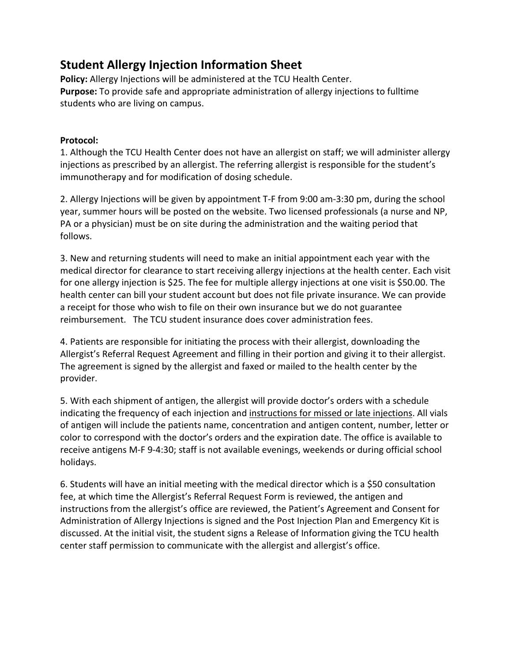# **Student Allergy Injection Information Sheet**

**Policy:** Allergy Injections will be administered at the TCU Health Center. **Purpose:** To provide safe and appropriate administration of allergy injections to fulltime students who are living on campus.

### **Protocol:**

1. Although the TCU Health Center does not have an allergist on staff; we will administer allergy injections as prescribed by an allergist. The referring allergist is responsible for the student's immunotherapy and for modification of dosing schedule.

2. Allergy Injections will be given by appointment T-F from 9:00 am-3:30 pm, during the school year, summer hours will be posted on the website. Two licensed professionals (a nurse and NP, PA or a physician) must be on site during the administration and the waiting period that follows.

3. New and returning students will need to make an initial appointment each year with the medical director for clearance to start receiving allergy injections at the health center. Each visit for one allergy injection is \$25. The fee for multiple allergy injections at one visit is \$50.00. The health center can bill your student account but does not file private insurance. We can provide a receipt for those who wish to file on their own insurance but we do not guarantee reimbursement. The TCU student insurance does cover administration fees.

4. Patients are responsible for initiating the process with their allergist, downloading the Allergist's Referral Request Agreement and filling in their portion and giving it to their allergist. The agreement is signed by the allergist and faxed or mailed to the health center by the provider.

5. With each shipment of antigen, the allergist will provide doctor's orders with a schedule indicating the frequency of each injection and instructions for missed or late injections. All vials of antigen will include the patients name, concentration and antigen content, number, letter or color to correspond with the doctor's orders and the expiration date. The office is available to receive antigens M-F 9-4:30; staff is not available evenings, weekends or during official school holidays.

6. Students will have an initial meeting with the medical director which is a \$50 consultation fee, at which time the Allergist's Referral Request Form is reviewed, the antigen and instructions from the allergist's office are reviewed, the Patient's Agreement and Consent for Administration of Allergy Injections is signed and the Post Injection Plan and Emergency Kit is discussed. At the initial visit, the student signs a Release of Information giving the TCU health center staff permission to communicate with the allergist and allergist's office.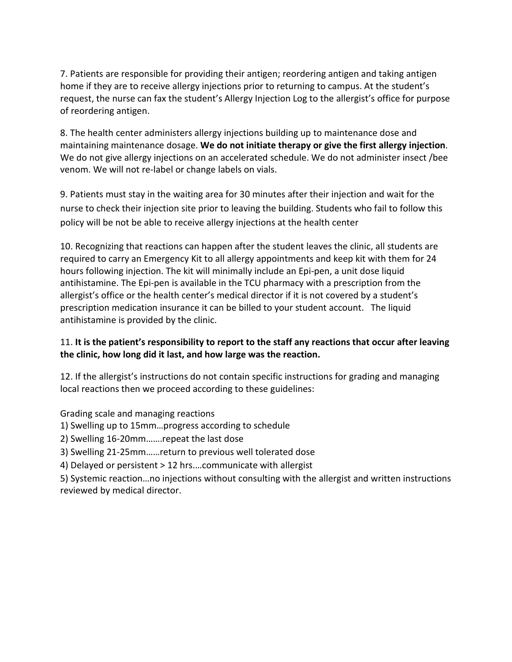7. Patients are responsible for providing their antigen; reordering antigen and taking antigen home if they are to receive allergy injections prior to returning to campus. At the student's request, the nurse can fax the student's Allergy Injection Log to the allergist's office for purpose of reordering antigen.

8. The health center administers allergy injections building up to maintenance dose and maintaining maintenance dosage. **We do not initiate therapy or give the first allergy injection**. We do not give allergy injections on an accelerated schedule. We do not administer insect /bee venom. We will not re-label or change labels on vials.

9. Patients must stay in the waiting area for 30 minutes after their injection and wait for the nurse to check their injection site prior to leaving the building. Students who fail to follow this policy will be not be able to receive allergy injections at the health center

10. Recognizing that reactions can happen after the student leaves the clinic, all students are required to carry an Emergency Kit to all allergy appointments and keep kit with them for 24 hours following injection. The kit will minimally include an Epi-pen, a unit dose liquid antihistamine. The Epi-pen is available in the TCU pharmacy with a prescription from the allergist's office or the health center's medical director if it is not covered by a student's prescription medication insurance it can be billed to your student account. The liquid antihistamine is provided by the clinic.

### 11. **It is the patient's responsibility to report to the staff any reactions that occur after leaving the clinic, how long did it last, and how large was the reaction.**

12. If the allergist's instructions do not contain specific instructions for grading and managing local reactions then we proceed according to these guidelines:

Grading scale and managing reactions

- 1) Swelling up to 15mm…progress according to schedule
- 2) Swelling 16-20mm…….repeat the last dose
- 3) Swelling 21-25mm……return to previous well tolerated dose
- 4) Delayed or persistent > 12 hrs.…communicate with allergist

5) Systemic reaction…no injections without consulting with the allergist and written instructions reviewed by medical director.